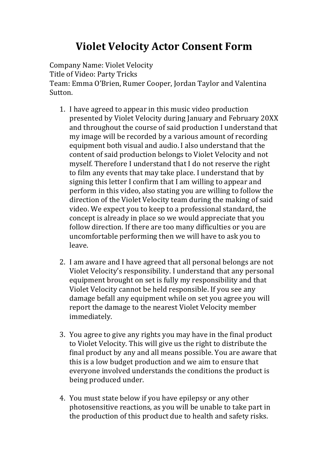## **Violet Velocity Actor Consent Form**

Company Name: Violet Velocity Title of Video: Party Tricks Team: Emma O'Brien, Rumer Cooper, Jordan Taylor and Valentina Sutton.

- 1. I have agreed to appear in this music video production presented by Violet Velocity during January and February 20XX and throughout the course of said production I understand that my image will be recorded by a various amount of recording equipment both visual and audio. I also understand that the content of said production belongs to Violet Velocity and not myself. Therefore I understand that I do not reserve the right to film any events that may take place. I understand that by signing this letter I confirm that I am willing to appear and perform in this video, also stating you are willing to follow the direction of the Violet Velocity team during the making of said video. We expect you to keep to a professional standard, the concept is already in place so we would appreciate that you follow direction. If there are too many difficulties or you are uncomfortable performing then we will have to ask you to leave.
- 2. I am aware and I have agreed that all personal belongs are not Violet Velocity's responsibility. I understand that any personal equipment brought on set is fully my responsibility and that Violet Velocity cannot be held responsible. If you see any damage befall any equipment while on set you agree you will report the damage to the nearest Violet Velocity member immediately.
- 3. You agree to give any rights you may have in the final product to Violet Velocity. This will give us the right to distribute the final product by any and all means possible. You are aware that this is a low budget production and we aim to ensure that everyone involved understands the conditions the product is being produced under.
- 4. You must state below if you have epilepsy or any other photosensitive reactions, as you will be unable to take part in the production of this product due to health and safety risks.